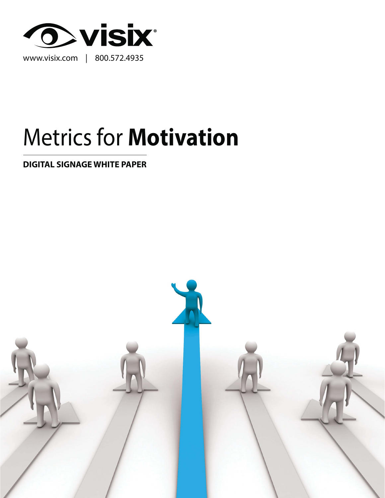

# Metrics for **Motivation**

**DIGITAL SIGNAGE WHITE PAPER**

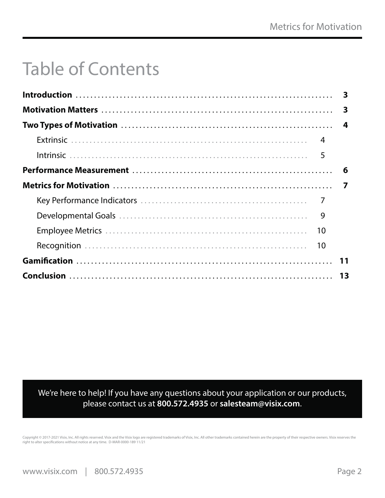## Table of Contents

| 9 |  |
|---|--|
|   |  |
|   |  |
|   |  |
|   |  |

We're here to help! If you have any questions about your application or our products, please contact us at **800.572.4935** or **salesteam@visix.com**.

Copyright © 2017-2021 Visix, Inc. All rights reserved. Visix and the Visix logo are registered trademarks of Visix, Inc. All other trademarks contained herein are the property of their respective owners. Visix reserves th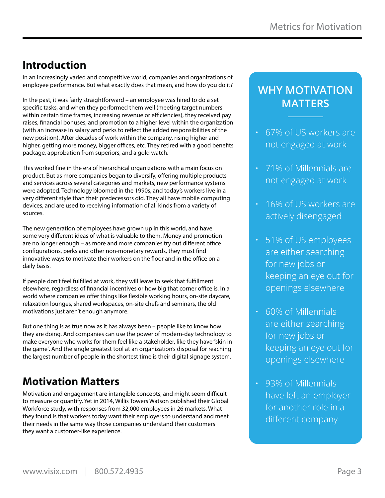### **Introduction**

In an increasingly varied and competitive world, companies and organizations of employee performance. But what exactly does that mean, and how do you do it?

In the past, it was fairly straightforward – an employee was hired to do a set specific tasks, and when they performed them well (meeting target numbers within certain time frames, increasing revenue or efficiencies), they received pay raises, financial bonuses, and promotion to a higher level within the organization (with an increase in salary and perks to reflect the added responsibilities of the new position). After decades of work within the company, rising higher and higher, getting more money, bigger offices, etc. They retired with a good benefits package, approbation from superiors, and a gold watch.

This worked fine in the era of hierarchical organizations with a main focus on product. But as more companies began to diversify, offering multiple products and services across several categories and markets, new performance systems were adopted. Technology bloomed in the 1990s, and today's workers live in a very different style than their predecessors did. They all have mobile computing devices, and are used to receiving information of all kinds from a variety of sources.

The new generation of employees have grown up in this world, and have some very different ideas of what is valuable to them. Money and promotion are no longer enough – as more and more companies try out different office configurations, perks and other non-monetary rewards, they must find innovative ways to motivate their workers on the floor and in the office on a daily basis.

If people don't feel fulfilled at work, they will leave to seek that fulfillment elsewhere, regardless of financial incentives or how big that corner office is. In a world where companies offer things like flexible working hours, on-site daycare, relaxation lounges, shared workspaces, on-site chefs and seminars, the old motivations just aren't enough anymore.

But one thing is as true now as it has always been – people like to know how they are doing. And companies can use the power of modern-day technology to make everyone who works for them feel like a stakeholder, like they have "skin in the game". And the single greatest tool at an organization's disposal for reaching the largest number of people in the shortest time is their digital signage system.

### **Motivation Matters**

Motivation and engagement are intangible concepts, and might seem difficult to measure or quantify. Yet in 2014, Willis Towers Watson published their Global Workforce study, with responses from 32,000 employees in 26 markets. What they found is that workers today want their employers to understand and meet their needs in the same way those companies understand their customers – they want a customer-like experience.

### **WHY MOTIVATION MATTERS**

- 67% of US workers are not engaged at work
- 71% of Millennials are not engaged at work
- 16% of US workers are actively disengaged
- 51% of US employees are either searching for new jobs or keeping an eye out for openings elsewhere
- 60% of Millennials are either searching for new jobs or keeping an eye out for openings elsewhere
- 93% of Millennials have left an employer for another role in a different company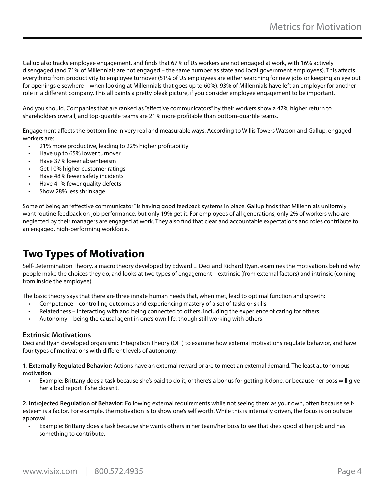Gallup also tracks employee engagement, and finds that 67% of US workers are not engaged at work, with 16% actively disengaged (and 71% of Millennials are not engaged – the same number as state and local government employees). This affects everything from productivity to employee turnover (51% of US employees are either searching for new jobs or keeping an eye out for openings elsewhere – when looking at Millennials that goes up to 60%). 93% of Millennials have left an employer for another role in a different company. This all paints a pretty bleak picture, if you consider employee engagement to be important.

And you should. Companies that are ranked as "effective communicators" by their workers show a 47% higher return to shareholders overall, and top-quartile teams are 21% more profitable than bottom-quartile teams.

Engagement affects the bottom line in very real and measurable ways. According to Willis Towers Watson and Gallup, engaged workers are:

- 21% more productive, leading to 22% higher profitability
- Have up to 65% lower turnover
- Have 37% lower absenteeism
- Get 10% higher customer ratings
- Have 48% fewer safety incidents
- Have 41% fewer quality defects
- Show 28% less shrinkage

Some of being an "effective communicator" is having good feedback systems in place. Gallup finds that Millennials uniformly want routine feedback on job performance, but only 19% get it. For employees of all generations, only 2% of workers who are neglected by their managers are engaged at work. They also find that clear and accountable expectations and roles contribute to an engaged, high-performing workforce.

### **Two Types of Motivation**

Self-Determination Theory, a macro theory developed by Edward L. Deci and Richard Ryan, examines the motivations behind why people make the choices they do, and looks at two types of engagement – extrinsic (from external factors) and intrinsic (coming from inside the employee).

The basic theory says that there are three innate human needs that, when met, lead to optimal function and growth:

- Competence controlling outcomes and experiencing mastery of a set of tasks or skills
- Relatedness interacting with and being connected to others, including the experience of caring for others
- Autonomy being the causal agent in one's own life, though still working with others

#### **Extrinsic Motivations**

Deci and Ryan developed organismic Integration Theory (OIT) to examine how external motivations regulate behavior, and have four types of motivations with different levels of autonomy:

**1. Externally Regulated Behavior:** Actions have an external reward or are to meet an external demand. The least autonomous motivation.

• Example: Brittany does a task because she's paid to do it, or there's a bonus for getting it done, or because her boss will give her a bad report if she doesn't.

**2. Introjected Regulation of Behavior:** Following external requirements while not seeing them as your own, often because selfesteem is a factor. For example, the motivation is to show one's self worth. While this is internally driven, the focus is on outside approval.

• Example: Brittany does a task because she wants others in her team/her boss to see that she's good at her job and has something to contribute.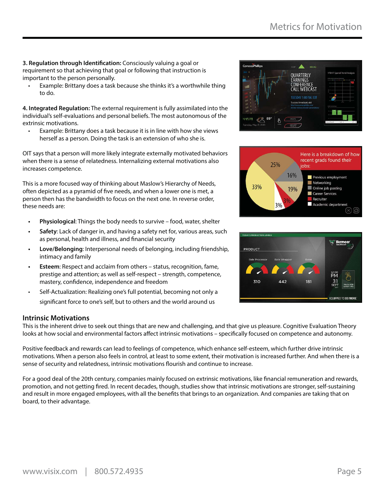**3. Regulation through Identification:** Consciously valuing a goal or requirement so that achieving that goal or following that instruction is important to the person personally.

• Example: Brittany does a task because she thinks it's a worthwhile thing to do.

**4. Integrated Regulation:** The external requirement is fully assimilated into the individual's self-evaluations and personal beliefs. The most autonomous of the extrinsic motivations.

• Example: Brittany does a task because it is in line with how she views herself as a person. Doing the task is an extension of who she is.

OIT says that a person will more likely integrate externally motivated behaviors when there is a sense of relatedness. Internalizing external motivations also increases competence.

This is a more focused way of thinking about Maslow's Hierarchy of Needs, often depicted as a pyramid of five needs, and when a lower one is met, a person then has the bandwidth to focus on the next one. In reverse order, these needs are:

- **Physiological**: Things the body needs to survive food, water, shelter
- **Safety**: Lack of danger in, and having a safety net for, various areas, such as personal, health and illness, and financial security
- **Love/Belonging**: Interpersonal needs of belonging, including friendship, intimacy and family
- **Esteem**: Respect and acclaim from others status, recognition, fame, prestige and attention; as well as self-respect – strength, competence, mastery, confidence, independence and freedom
- Self-Actualization: Realizing one's full potential, becoming not only a significant force to one's self, but to others and the world around us

#### **Intrinsic Motivations**

This is the inherent drive to seek out things that are new and challenging, and that give us pleasure. Cognitive Evaluation Theory looks at how social and environmental factors affect intrinsic motivations – specifically focused on competence and autonomy.

Positive feedback and rewards can lead to feelings of competence, which enhance self-esteem, which further drive intrinsic motivations. When a person also feels in control, at least to some extent, their motivation is increased further. And when there is a sense of security and relatedness, intrinsic motivations flourish and continue to increase.

For a good deal of the 20th century, companies mainly focused on extrinsic motivations, like financial remuneration and rewards, promotion, and not getting fired. In recent decades, though, studies show that intrinsic motivations are stronger, self-sustaining and result in more engaged employees, with all the benefits that brings to an organization. And companies are taking that on board, to their advantage.





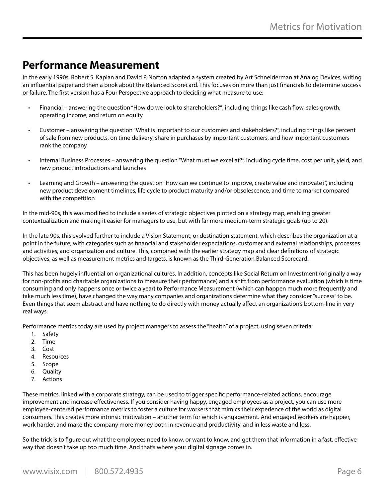### **Performance Measurement**

In the early 1990s, Robert S. Kaplan and David P. Norton adapted a system created by Art Schneiderman at Analog Devices, writing an influential paper and then a book about the Balanced Scorecard. This focuses on more than just financials to determine success or failure. The first version has a Four Perspective approach to deciding what measure to use:

- Financial answering the question "How do we look to shareholders?"; including things like cash flow, sales growth, operating income, and return on equity
- Customer answering the question "What is important to our customers and stakeholders?", including things like percent of sale from new products, on time delivery, share in purchases by important customers, and how important customers rank the company
- Internal Business Processes answering the question "What must we excel at?", including cycle time, cost per unit, yield, and new product introductions and launches
- Learning and Growth answering the question "How can we continue to improve, create value and innovate?", including new product development timelines, life cycle to product maturity and/or obsolescence, and time to market compared with the competition

In the mid-90s, this was modified to include a series of strategic objectives plotted on a strategy map, enabling greater contextualization and making it easier for managers to use, but with far more medium-term strategic goals (up to 20).

In the late 90s, this evolved further to include a Vision Statement, or destination statement, which describes the organization at a point in the future, with categories such as financial and stakeholder expectations, customer and external relationships, processes and activities, and organization and culture. This, combined with the earlier strategy map and clear definitions of strategic objectives, as well as measurement metrics and targets, is known as the Third-Generation Balanced Scorecard.

This has been hugely influential on organizational cultures. In addition, concepts like Social Return on Investment (originally a way for non-profits and charitable organizations to measure their performance) and a shift from performance evaluation (which is time consuming and only happens once or twice a year) to Performance Measurement (which can happen much more frequently and take much less time), have changed the way many companies and organizations determine what they consider "success" to be. Even things that seem abstract and have nothing to do directly with money actually affect an organization's bottom-line in very real ways.

Performance metrics today are used by project managers to assess the "health" of a project, using seven criteria:

- 1. Safety
- 2. Time
- 3. Cost
- 4. Resources
- 5. Scope
- 6. Quality
- 7. Actions

These metrics, linked with a corporate strategy, can be used to trigger specific performance-related actions, encourage improvement and increase effectiveness. If you consider having happy, engaged employees as a project, you can use more employee-centered performance metrics to foster a culture for workers that mimics their experience of the world as digital consumers. This creates more intrinsic motivation – another term for which is engagement. And engaged workers are happier, work harder, and make the company more money both in revenue and productivity, and in less waste and loss.

So the trick is to figure out what the employees need to know, or want to know, and get them that information in a fast, effective way that doesn't take up too much time. And that's where your digital signage comes in.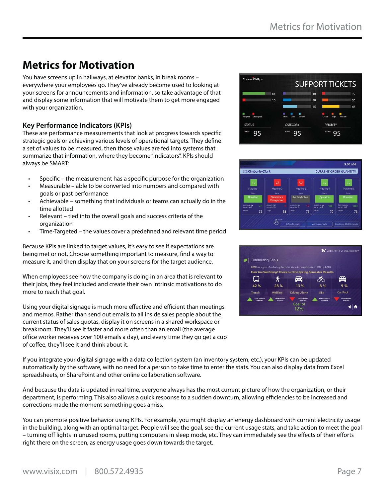### **Metrics for Motivation**

You have screens up in hallways, at elevator banks, in break rooms – everywhere your employees go. They've already become used to looking at your screens for announcements and information, so take advantage of that and display some information that will motivate them to get more engaged with your organization.

#### **Key Performance Indicators (KPIs)**

These are performance measurements that look at progress towards specific strategic goals or achieving various levels of operational targets. They define a set of values to be measured, then those values are fed into systems that summarize that information, where they become "indicators". KPIs should always be SMART:

- Specific the measurement has a specific purpose for the organization
- Measurable able to be converted into numbers and compared with goals or past performance
- Achievable something that individuals or teams can actually do in the time allotted
- Relevant tied into the overall goals and success criteria of the organization
- Time-Targeted the values cover a predefined and relevant time period

Because KPIs are linked to target values, it's easy to see if expectations are being met or not. Choose something important to measure, find a way to measure it, and then display that on your screens for the target audience.

When employees see how the company is doing in an area that is relevant to their jobs, they feel included and create their own intrinsic motivations to do more to reach that goal.

Using your digital signage is much more effective and efficient than meetings and memos. Rather than send out emails to all inside sales people about the current status of sales quotas, display it on screens in a shared workspace or breakroom. They'll see it faster and more often than an email (the average office worker receives over 100 emails a day), and every time they go get a cup of coffee, they'll see it and think about it.

ConocoPhillips **SUPPORT TICKETS**  $85$  $\overline{\phantom{a}}$  ss  $\frac{1}{\sqrt{100}}$  Media **Crash Data** System **STATUS** CATEGORY **PRIORITY** 95  $35$ 95





If you integrate your digital signage with a data collection system (an inventory system, etc.), your KPIs can be updated automatically by the software, with no need for a person to take time to enter the stats. You can also display data from Excel spreadsheets, or SharePoint and other online collaboration software.

And because the data is updated in real time, everyone always has the most current picture of how the organization, or their department, is performing. This also allows a quick response to a sudden downturn, allowing efficiencies to be increased and corrections made the moment something goes amiss.

You can promote positive behavior using KPIs. For example, you might display an energy dashboard with current electricity usage in the building, along with an optimal target. People will see the goal, see the current usage stats, and take action to meet the goal – turning off lights in unused rooms, putting computers in sleep mode, etc. They can immediately see the effects of their efforts right there on the screen, as energy usage goes down towards the target.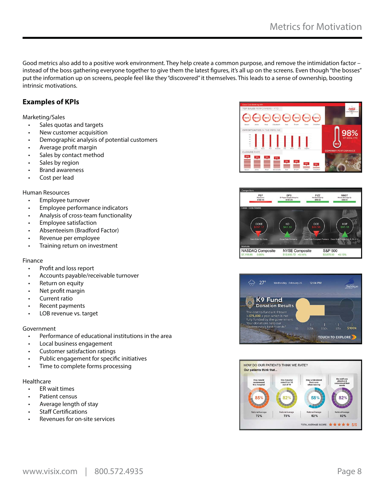Good metrics also add to a positive work environment. They help create a common purpose, and remove the intimidation factor – instead of the boss gathering everyone together to give them the latest figures, it's all up on the screens. Even though "the bosses" put the information up on screens, people feel like they "discovered" it themselves. This leads to a sense of ownership, boosting intrinsic motivations.

#### **Examples of KPIs**

#### Marketing/Sales

- Sales quotas and targets
- New customer acquisition
- Demographic analysis of potential customers
- Average profit margin
- Sales by contact method
- Sales by region
- Brand awareness
- Cost per lead

#### Human Resources

- Employee turnover
- Employee performance indicators
- Analysis of cross-team functionality
- Employee satisfaction
- Absenteeism (Bradford Factor)
- Revenue per employee
- Training return on investment

#### Finance

- Profit and loss report
- Accounts payable/receivable turnover
- Return on equity
- Net profit margin
- Current ratio
- Recent payments
- LOB revenue vs. target

#### Government

- Performance of educational institutions in the area
- Local business engagement
- Customer satisfaction ratings
- Public engagement for specific initiatives
- Time to complete forms processing

#### Healthcare

- ER wait times
- Patient census
- Average length of stay
- **Staff Certifications**
- Revenues for on-site services







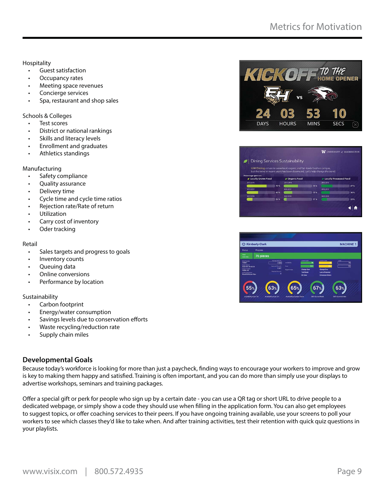**Hospitality** 

- Guest satisfaction
- Occupancy rates
- Meeting space revenues
- Concierge services
- Spa, restaurant and shop sales

Schools & Colleges

- Test scores
- District or national rankings
- Skills and literacy levels
- Enrollment and graduates
- Athletics standings

Manufacturing

- Safety compliance
- Quality assurance
- Delivery time
- Cycle time and cycle time ratios
- Rejection rate/Rate of return
- Utilization
- Carry cost of inventory
- Oder tracking

#### Retail

- Sales targets and progress to goals
- Inventory counts
- Queuing data
- Online conversions
- Performance by location

#### Sustainability

- Carbon footprint
- Energy/water consumption
- Savings levels due to conservation efforts
- Waste recycling/reduction rate
- Supply chain miles

#### **Developmental Goals**

Because today's workforce is looking for more than just a paycheck, finding ways to encourage your workers to improve and grow is key to making them happy and satisfied. Training is often important, and you can do more than simply use your displays to advertise workshops, seminars and training packages.

Offer a special gift or perk for people who sign up by a certain date - you can use a QR tag or short URL to drive people to a dedicated webpage, or simply show a code they should use when filling in the application form. You can also get employees to suggest topics, or offer coaching services to their peers. If you have ongoing training available, use your screens to poll your workers to see which classes they'd like to take when. And after training activities, test their retention with quick quiz questions in your playlists.





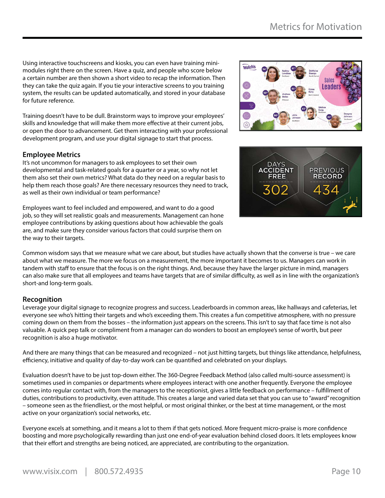Using interactive touchscreens and kiosks, you can even have training minimodules right there on the screen. Have a quiz, and people who score below a certain number are then shown a short video to recap the information. Then they can take the quiz again. If you tie your interactive screens to you training system, the results can be updated automatically, and stored in your database for future reference.

Training doesn't have to be dull. Brainstorm ways to improve your employees' skills and knowledge that will make them more effective at their current jobs, or open the door to advancement. Get them interacting with your professional development program, and use your digital signage to start that process.

#### **Employee Metrics**

It's not uncommon for managers to ask employees to set their own developmental and task-related goals for a quarter or a year, so why not let them also set their own metrics? What data do they need on a regular basis to help them reach those goals? Are there necessary resources they need to track, as well as their own individual or team performance?

Employees want to feel included and empowered, and want to do a good job, so they will set realistic goals and measurements. Management can hone employee contributions by asking questions about how achievable the goals are, and make sure they consider various factors that could surprise them on the way to their targets.

Common wisdom says that we measure what we care about, but studies have actually shown that the converse is true – we care about what we measure. The more we focus on a measurement, the more important it becomes to us. Managers can work in tandem with staff to ensure that the focus is on the right things. And, because they have the larger picture in mind, managers can also make sure that all employees and teams have targets that are of similar difficulty, as well as in line with the organization's short-and long-term goals.

#### **Recognition**

Leverage your digital signage to recognize progress and success. Leaderboards in common areas, like hallways and cafeterias, let everyone see who's hitting their targets and who's exceeding them. This creates a fun competitive atmosphere, with no pressure coming down on them from the bosses – the information just appears on the screens. This isn't to say that face time is not also valuable. A quick pep talk or compliment from a manager can do wonders to boost an employee's sense of worth, but peer recognition is also a huge motivator.

And there are many things that can be measured and recognized – not just hitting targets, but things like attendance, helpfulness, efficiency, initiative and quality of day-to-day work can be quantified and celebrated on your displays.

Evaluation doesn't have to be just top-down either. The 360-Degree Feedback Method (also called multi-source assessment) is sometimes used in companies or departments where employees interact with one another frequently. Everyone the employee comes into regular contact with, from the managers to the receptionist, gives a little feedback on performance – fulfillment of duties, contributions to productivity, even attitude. This creates a large and varied data set that you can use to "award" recognition – someone seen as the friendliest, or the most helpful, or most original thinker, or the best at time management, or the most active on your organization's social networks, etc.

Everyone excels at something, and it means a lot to them if that gets noticed. More frequent micro-praise is more confidence boosting and more psychologically rewarding than just one end-of-year evaluation behind closed doors. It lets employees know that their effort and strengths are being noticed, are appreciated, are contributing to the organization.



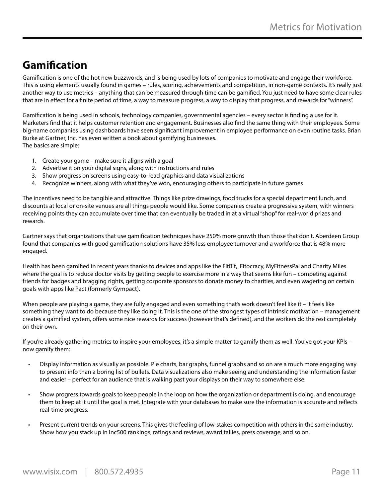### **Gamification**

Gamification is one of the hot new buzzwords, and is being used by lots of companies to motivate and engage their workforce. This is using elements usually found in games – rules, scoring, achievements and competition, in non-game contexts. It's really just another way to use metrics – anything that can be measured through time can be gamified. You just need to have some clear rules that are in effect for a finite period of time, a way to measure progress, a way to display that progress, and rewards for "winners".

Gamification is being used in schools, technology companies, governmental agencies – every sector is finding a use for it. Marketers find that it helps customer retention and engagement. Businesses also find the same thing with their employees. Some big-name companies using dashboards have seen significant improvement in employee performance on even routine tasks. Brian Burke at Gartner, Inc. has even written a book about gamifying businesses. The basics are simple:

- 1. Create your game make sure it aligns with a goal
- 2. Advertise it on your digital signs, along with instructions and rules
- 3. Show progress on screens using easy-to-read graphics and data visualizations
- 4. Recognize winners, along with what they've won, encouraging others to participate in future games

The incentives need to be tangible and attractive. Things like prize drawings, food trucks for a special department lunch, and discounts at local or on-site venues are all things people would like. Some companies create a progressive system, with winners receiving points they can accumulate over time that can eventually be traded in at a virtual "shop" for real-world prizes and rewards.

Gartner says that organizations that use gamification techniques have 250% more growth than those that don't. Aberdeen Group found that companies with good gamification solutions have 35% less employee turnover and a workforce that is 48% more engaged.

Health has been gamified in recent years thanks to devices and apps like the FitBit, Fitocracy, MyFitnessPal and Charity Miles where the goal is to reduce doctor visits by getting people to exercise more in a way that seems like fun – competing against friends for badges and bragging rights, getting corporate sponsors to donate money to charities, and even wagering on certain goals with apps like Pact (formerly Gympact).

When people are playing a game, they are fully engaged and even something that's work doesn't feel like it – it feels like something they want to do because they like doing it. This is the one of the strongest types of intrinsic motivation – management creates a gamified system, offers some nice rewards for success (however that's defined), and the workers do the rest completely on their own.

If you're already gathering metrics to inspire your employees, it's a simple matter to gamify them as well. You've got your KPIs – now gamify them:

- Display information as visually as possible. Pie charts, bar graphs, funnel graphs and so on are a much more engaging way to present info than a boring list of bullets. Data visualizations also make seeing and understanding the information faster and easier – perfect for an audience that is walking past your displays on their way to somewhere else.
- Show progress towards goals to keep people in the loop on how the organization or department is doing, and encourage them to keep at it until the goal is met. Integrate with your databases to make sure the information is accurate and reflects real-time progress.
- Present current trends on your screens. This gives the feeling of low-stakes competition with others in the same industry. Show how you stack up in Inc500 rankings, ratings and reviews, award tallies, press coverage, and so on.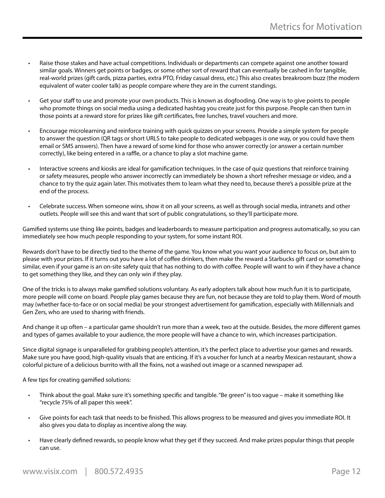- Raise those stakes and have actual competitions. Individuals or departments can compete against one another toward similar goals. Winners get points or badges, or some other sort of reward that can eventually be cashed in for tangible, real-world prizes (gift cards, pizza parties, extra PTO, Friday casual dress, etc.) This also creates breakroom buzz (the modern equivalent of water cooler talk) as people compare where they are in the current standings.
- Get your staff to use and promote your own products. This is known as dogfooding. One way is to give points to people who promote things on social media using a dedicated hashtag you create just for this purpose. People can then turn in those points at a reward store for prizes like gift certificates, free lunches, travel vouchers and more.
- Encourage microlearning and reinforce training with quick quizzes on your screens. Provide a simple system for people to answer the question (QR tags or short URLS to take people to dedicated webpages is one way, or you could have them email or SMS answers). Then have a reward of some kind for those who answer correctly (or answer a certain number correctly), like being entered in a raffle, or a chance to play a slot machine game.
- Interactive screens and kiosks are ideal for gamification techniques. In the case of quiz questions that reinforce training or safety measures, people who answer incorrectly can immediately be shown a short refresher message or video, and a chance to try the quiz again later. This motivates them to learn what they need to, because there's a possible prize at the end of the process.
- Celebrate success. When someone wins, show it on all your screens, as well as through social media, intranets and other outlets. People will see this and want that sort of public congratulations, so they'll participate more.

Gamified systems use thing like points, badges and leaderboards to measure participation and progress automatically, so you can immediately see how much people responding to your system, for some instant ROI.

Rewards don't have to be directly tied to the theme of the game. You know what you want your audience to focus on, but aim to please with your prizes. If it turns out you have a lot of coffee drinkers, then make the reward a Starbucks gift card or something similar, even if your game is an on-site safety quiz that has nothing to do with coffee. People will want to win if they have a chance to get something they like, and they can only win if they play.

One of the tricks is to always make gamified solutions voluntary. As early adopters talk about how much fun it is to participate, more people will come on board. People play games because they are fun, not because they are told to play them. Word of mouth may (whether face-to-face or on social media) be your strongest advertisement for gamification, especially with Millennials and Gen Zers, who are used to sharing with friends.

And change it up often – a particular game shouldn't run more than a week, two at the outside. Besides, the more different games and types of games available to your audience, the more people will have a chance to win, which increases participation.

Since digital signage is unparalleled for grabbing people's attention, it's the perfect place to advertise your games and rewards. Make sure you have good, high-quality visuals that are enticing. If it's a voucher for lunch at a nearby Mexican restaurant, show a colorful picture of a delicious burrito with all the fixins, not a washed out image or a scanned newspaper ad.

A few tips for creating gamified solutions:

- Think about the goal. Make sure it's something specific and tangible. "Be green" is too vague make it something like "recycle 75% of all paper this week".
- Give points for each task that needs to be finished. This allows progress to be measured and gives you immediate ROI. It also gives you data to display as incentive along the way.
- Have clearly defined rewards, so people know what they get if they succeed. And make prizes popular things that people can use.